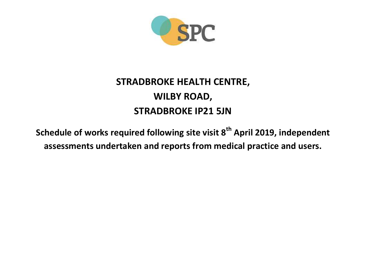

## **STRADBROKE HEALTH CENTRE, WILBY ROAD, STRADBROKE IP21 5JN**

**Schedule of works required following site visit 8th April 2019, independent assessments undertaken and reports from medical practice and users.**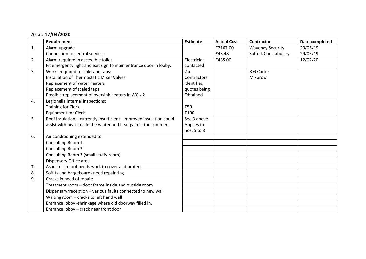## **As at: 17/04/2020**

|                  | Requirement                                                         | <b>Estimate</b> | <b>Actual Cost</b> | <b>Contractor</b>           | Date completed |
|------------------|---------------------------------------------------------------------|-----------------|--------------------|-----------------------------|----------------|
| 1.               | Alarm upgrade                                                       |                 | £2167.00           | <b>Waveney Security</b>     | 29/05/19       |
|                  | Connection to central services                                      |                 | £43.48             | <b>Suffolk Constabulary</b> | 29/05/19       |
| 2.               | Alarm required in accessible toilet                                 | Electrician     | £435.00            |                             | 12/02/20       |
|                  | Fit emergency light and exit sign to main entrance door in lobby.   | contacted       |                    |                             |                |
| 3.               | Works required to sinks and taps:                                   | 2x              |                    | R G Carter                  |                |
|                  | <b>Installation of Thermostatic Mixer Valves</b>                    | Contractors     |                    | Mixbrow                     |                |
|                  | Replacement of water heaters                                        | identified      |                    |                             |                |
|                  | Replacement of scaled taps                                          | quotes being    |                    |                             |                |
|                  | Possible replacement of oversink heaters in WC x 2                  | Obtained        |                    |                             |                |
| 4.               | Legionella internal inspections:                                    |                 |                    |                             |                |
|                  | <b>Training for Clerk</b>                                           | £50             |                    |                             |                |
|                  | <b>Equipment for Clerk</b>                                          | £100            |                    |                             |                |
| 5.               | Roof insulation - currently insufficient. Improved insulation could | See 3 above     |                    |                             |                |
|                  | assist with heat loss in the winter and heat gain in the summer.    | Applies to      |                    |                             |                |
|                  |                                                                     | nos. 5 to 8     |                    |                             |                |
| 6.               | Air conditioning extended to:                                       |                 |                    |                             |                |
|                  | Consulting Room 1                                                   |                 |                    |                             |                |
|                  | Consulting Room 2                                                   |                 |                    |                             |                |
|                  | Consulting Room 3 (small stuffy room)                               |                 |                    |                             |                |
|                  | Dispensary Office area                                              |                 |                    |                             |                |
| 7.               | Asbestos in roof needs work to cover and protect                    |                 |                    |                             |                |
| $\overline{8}$ . | Soffits and bargeboards need repainting                             |                 |                    |                             |                |
| 9.               | Cracks in need of repair:                                           |                 |                    |                             |                |
|                  | Treatment room - door frame inside and outside room                 |                 |                    |                             |                |
|                  | Dispensary/reception - various faults connected to new wall         |                 |                    |                             |                |
|                  | Waiting room - cracks to left hand wall                             |                 |                    |                             |                |
|                  | Entrance lobby -shrinkage where old doorway filled in.              |                 |                    |                             |                |
|                  | Entrance lobby - crack near front door                              |                 |                    |                             |                |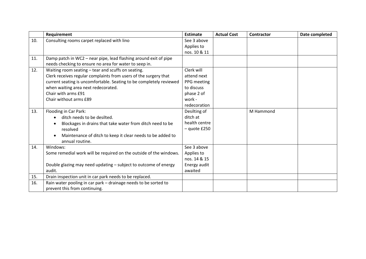|     | Requirement                                                                                | <b>Estimate</b>            | <b>Actual Cost</b> | Contractor | Date completed |
|-----|--------------------------------------------------------------------------------------------|----------------------------|--------------------|------------|----------------|
| 10. | Consulting rooms carpet replaced with lino                                                 | See 3 above                |                    |            |                |
|     |                                                                                            | Applies to                 |                    |            |                |
|     |                                                                                            | nos. 10 & 11               |                    |            |                |
| 11. | Damp patch in WC2 - near pipe, lead flashing around exit of pipe                           |                            |                    |            |                |
|     | needs checking to ensure no area for water to seep in.                                     |                            |                    |            |                |
| 12. | Waiting room seating - tear and scuffs on seating.                                         | Clerk will                 |                    |            |                |
|     | Clerk receives regular complaints from users of the surgery that                           | attend next                |                    |            |                |
|     | current seating is uncomfortable. Seating to be completely reviewed                        | PPG meeting                |                    |            |                |
|     | when waiting area next redecorated.                                                        | to discuss                 |                    |            |                |
|     | Chair with arms £91                                                                        | phase 2 of                 |                    |            |                |
|     | Chair without arms £89                                                                     | work -                     |                    |            |                |
|     |                                                                                            | redecoration               |                    |            |                |
| 13. | Flooding in Car Park:                                                                      | Desilting of               |                    | M Hammond  |                |
|     | ditch needs to be desilted.                                                                | ditch at                   |                    |            |                |
|     | Blockages in drains that take water from ditch need to be                                  | health centre              |                    |            |                |
|     | resolved                                                                                   | $-$ quote £250             |                    |            |                |
|     | Maintenance of ditch to keep it clear needs to be added to<br>$\bullet$<br>annual routine. |                            |                    |            |                |
| 14. | Windows:                                                                                   | See 3 above                |                    |            |                |
|     |                                                                                            |                            |                    |            |                |
|     | Some remedial work will be required on the outside of the windows.                         | Applies to<br>nos. 14 & 15 |                    |            |                |
|     | Double glazing may need updating - subject to outcome of energy                            | Energy audit               |                    |            |                |
|     | audit.                                                                                     | awaited                    |                    |            |                |
| 15. |                                                                                            |                            |                    |            |                |
| 16. | Drain inspection unit in car park needs to be replaced.                                    |                            |                    |            |                |
|     | Rain water pooling in car park - drainage needs to be sorted to                            |                            |                    |            |                |
|     | prevent this from continuing.                                                              |                            |                    |            |                |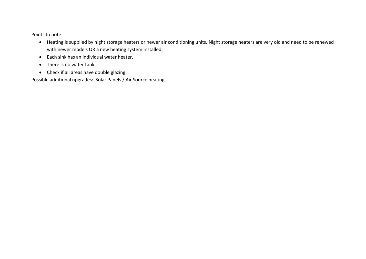Points to note:

- Heating is supplied by night storage heaters or newer air conditioning units. Night storage heaters are very old and need to be renewed with newer models OR a new heating system installed.
- Each sink has an individual water heater.
- There is no water tank.
- Check if all areas have double glazing.

Possible additional upgrades: Solar Panels / Air Source heating.